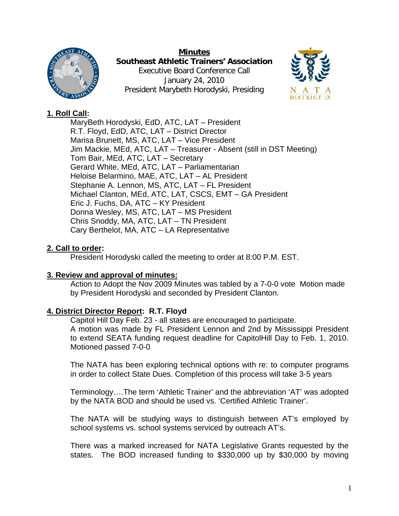

**Minutes Southeast Athletic Trainers' Association**  Executive Board Conference Call January 24, 2010 President Marybeth Horodyski, Presiding



# **1. Roll Call:**

MaryBeth Horodyski, EdD, ATC, LAT – President R.T. Floyd, EdD, ATC, LAT – District Director Marisa Brunett, MS, ATC, LAT – Vice President Jim Mackie, MEd, ATC, LAT – Treasurer - Absent (still in DST Meeting) Tom Bair, MEd, ATC, LAT – Secretary Gerard White, MEd, ATC, LAT – Parliamentarian Heloise Belarmino, MAE, ATC, LAT – AL President Stephanie A. Lennon, MS, ATC, LAT – FL President Michael Clanton, MEd, ATC, LAT, CSCS, EMT – GA President Eric J. Fuchs, DA, ATC – KY President Donna Wesley, MS, ATC, LAT – MS President Chris Snoddy, MA, ATC, LAT – TN President Cary Berthelot, MA, ATC – LA Representative

## **2. Call to order:**

President Horodyski called the meeting to order at 8:00 P.M. EST.

## **3. Review and approval of minutes:**

Action to Adopt the Nov 2009 Minutes was tabled by a 7-0-0 vote Motion made by President Horodyski and seconded by President Clanton.

# **4. District Director Report: R.T. Floyd**

Capitol Hill Day Feb. 23 - all states are encouraged to participate. A motion was made by FL President Lennon and 2nd by Mississippi President to extend SEATA funding request deadline for CapitolHill Day to Feb. 1, 2010. Motioned passed 7-0-0

The NATA has been exploring technical options with re: to computer programs in order to collect State Dues. Completion of this process will take 3-5 years

Terminology….The term 'Athletic Trainer' and the abbreviation 'AT' was adopted by the NATA BOD and should be used vs. 'Certified Athletic Trainer'.

The NATA will be studying ways to distinguish between AT's employed by school systems vs. school systems serviced by outreach AT's.

There was a marked increased for NATA Legislative Grants requested by the states. The BOD increased funding to \$330,000 up by \$30,000 by moving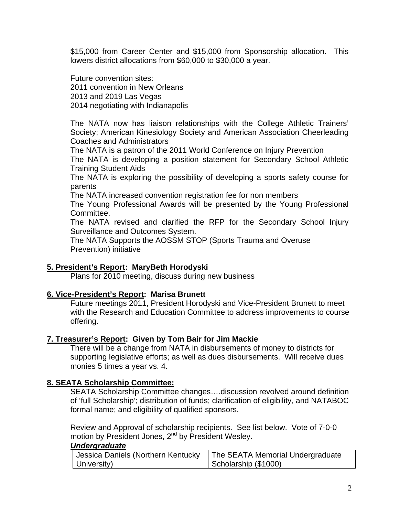\$15,000 from Career Center and \$15,000 from Sponsorship allocation. This lowers district allocations from \$60,000 to \$30,000 a year.

Future convention sites: 2011 convention in New Orleans 2013 and 2019 Las Vegas 2014 negotiating with Indianapolis

The NATA now has liaison relationships with the College Athletic Trainers' Society; American Kinesiology Society and American Association Cheerleading Coaches and Administrators

The NATA is a patron of the 2011 World Conference on Injury Prevention

The NATA is developing a position statement for Secondary School Athletic Training Student Aids

The NATA is exploring the possibility of developing a sports safety course for parents

The NATA increased convention registration fee for non members

The Young Professional Awards will be presented by the Young Professional Committee.

The NATA revised and clarified the RFP for the Secondary School Injury Surveillance and Outcomes System.

The NATA Supports the AOSSM STOP (Sports Trauma and Overuse Prevention) initiative

## **5. President's Report: MaryBeth Horodyski**

Plans for 2010 meeting, discuss during new business

### **6. Vice-President's Report: Marisa Brunett**

Future meetings 2011, President Horodyski and Vice-President Brunett to meet with the Research and Education Committee to address improvements to course offering.

### **7. Treasurer's Report: Given by Tom Bair for Jim Mackie**

There will be a change from NATA in disbursements of money to districts for supporting legislative efforts; as well as dues disbursements. Will receive dues monies 5 times a year vs. 4.

### **8. SEATA Scholarship Committee:**

SEATA Scholarship Committee changes….discussion revolved around definition of 'full Scholarship'; distribution of funds; clarification of eligibility, and NATABOC formal name; and eligibility of qualified sponsors.

Review and Approval of scholarship recipients. See list below. Vote of 7-0-0 motion by President Jones, 2<sup>nd</sup> by President Wesley.

#### *Undergraduate*

| Jessica Daniels (Northern Kentucky | The SEATA Memorial Undergraduate |
|------------------------------------|----------------------------------|
| University)                        | Scholarship (\$1000)             |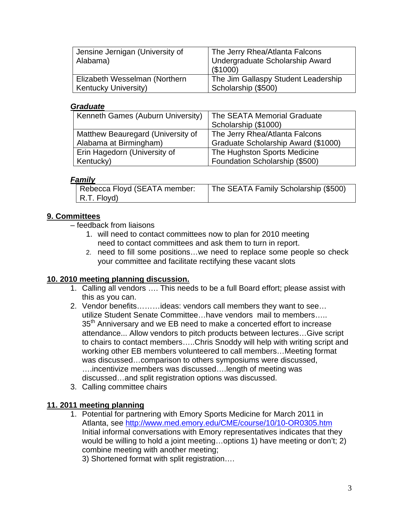| Jensine Jernigan (University of<br>Alabama) | The Jerry Rhea/Atlanta Falcons<br>Undergraduate Scholarship Award<br>(\$1000) |
|---------------------------------------------|-------------------------------------------------------------------------------|
| Elizabeth Wesselman (Northern               | The Jim Gallaspy Student Leadership                                           |
| <b>Kentucky University)</b>                 | Scholarship (\$500)                                                           |

### *Graduate*

| Kenneth Games (Auburn University) | The SEATA Memorial Graduate         |
|-----------------------------------|-------------------------------------|
|                                   | Scholarship (\$1000)                |
| Matthew Beauregard (University of | The Jerry Rhea/Atlanta Falcons      |
| Alabama at Birmingham)            | Graduate Scholarship Award (\$1000) |
| Erin Hagedorn (University of      | The Hughston Sports Medicine        |
| Kentucky)                         | Foundation Scholarship (\$500)      |

## *Family*

| Rebecca Floyd (SEATA member: | The SEATA Family Scholarship (\$500) |
|------------------------------|--------------------------------------|
| $\vert$ R.T. Floyd)          |                                      |

# **9. Committees**

– feedback from liaisons

- 1. will need to contact committees now to plan for 2010 meeting need to contact committees and ask them to turn in report.
- 2. need to fill some positions…we need to replace some people so check your committee and facilitate rectifying these vacant slots

## **10. 2010 meeting planning discussion.**

- 1. Calling all vendors …. This needs to be a full Board effort; please assist with this as you can.
- 2. Vendor benefits………ideas: vendors call members they want to see… utilize Student Senate Committee…have vendors mail to members….. 35<sup>th</sup> Anniversary and we EB need to make a concerted effort to increase attendance... Allow vendors to pitch products between lectures…Give script to chairs to contact members…..Chris Snoddy will help with writing script and working other EB members volunteered to call members…Meeting format was discussed…comparison to others symposiums were discussed, ….incentivize members was discussed….length of meeting was discussed…and split registration options was discussed.
- 3. Calling committee chairs

# **11. 2011 meeting planning**

1. Potential for partnering with Emory Sports Medicine for March 2011 in Atlanta, see http://www.med.emory.edu/CME/course/10/10-OR0305.htm Initial informal conversations with Emory representatives indicates that they would be willing to hold a joint meeting…options 1) have meeting or don't; 2) combine meeting with another meeting;

3) Shortened format with split registration….